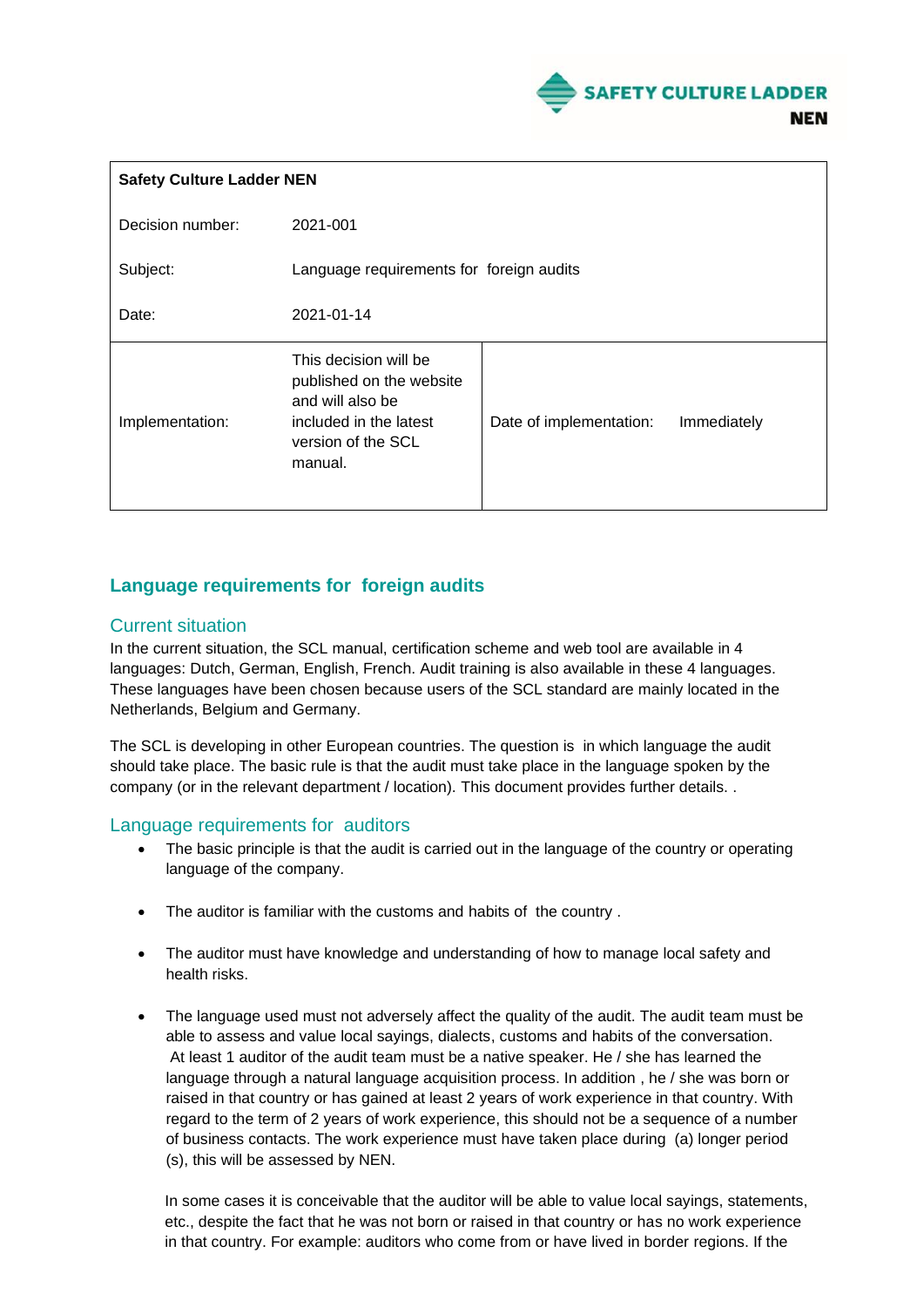

| <b>Safety Culture Ladder NEN</b> |                                                                                                                                  |                         |             |
|----------------------------------|----------------------------------------------------------------------------------------------------------------------------------|-------------------------|-------------|
| Decision number:                 | 2021-001                                                                                                                         |                         |             |
| Subject:                         | Language requirements for foreign audits                                                                                         |                         |             |
| Date:                            | 2021-01-14                                                                                                                       |                         |             |
| Implementation:                  | This decision will be<br>published on the website<br>and will also be<br>included in the latest<br>version of the SCL<br>manual. | Date of implementation: | Immediately |

## **Language requirements for foreign audits**

## Current situation

In the current situation, the SCL manual, certification scheme and web tool are available in 4 languages: Dutch, German, English, French. Audit training is also available in these 4 languages. These languages have been chosen because users of the SCL standard are mainly located in the Netherlands, Belgium and Germany.

The SCL is developing in other European countries. The question is in which language the audit should take place. The basic rule is that the audit must take place in the language spoken by the company (or in the relevant department / location). This document provides further details. .

## Language requirements for auditors

- The basic principle is that the audit is carried out in the language of the country or operating language of the company.
- The auditor is familiar with the customs and habits of the country .
- The auditor must have knowledge and understanding of how to manage local safety and health risks.
- The language used must not adversely affect the quality of the audit. The audit team must be able to assess and value local sayings, dialects, customs and habits of the conversation. At least 1 auditor of the audit team must be a native speaker. He / she has learned the language through a natural language acquisition process. In addition , he / she was born or raised in that country or has gained at least 2 years of work experience in that country. With regard to the term of 2 years of work experience, this should not be a sequence of a number of business contacts. The work experience must have taken place during (a) longer period (s), this will be assessed by NEN.

In some cases it is conceivable that the auditor will be able to value local sayings, statements, etc., despite the fact that he was not born or raised in that country or has no work experience in that country. For example: auditors who come from or have lived in border regions. If the